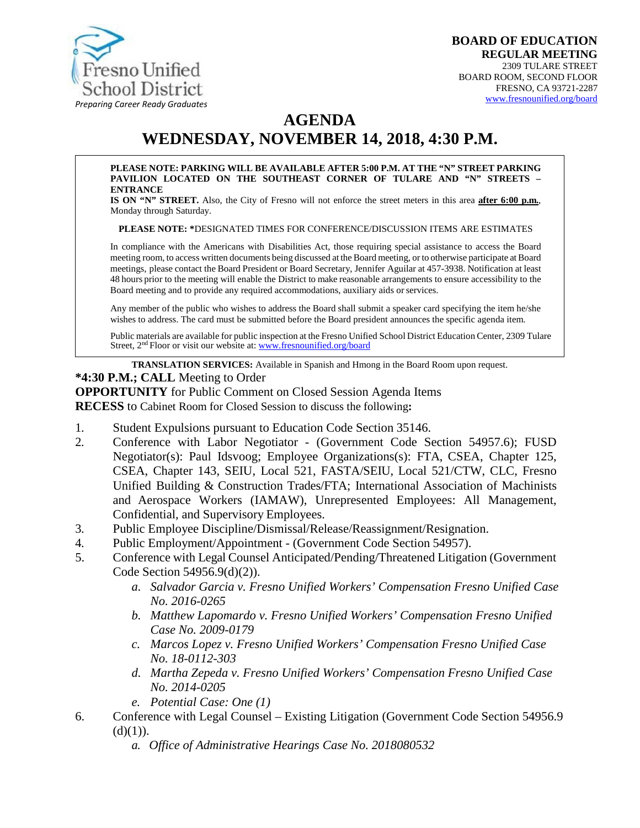

# **AGENDA WEDNESDAY, NOVEMBER 14, 2018, 4:30 P.M.**

#### **PLEASE NOTE: PARKING WILL BE AVAILABLE AFTER 5:00 P.M. AT THE "N" STREET PARKING PAVILION LOCATED ON THE SOUTHEAST CORNER OF TULARE AND "N" STREETS – ENTRANCE**

**IS ON "N" STREET.** Also, the City of Fresno will not enforce the street meters in this area **after 6:00 p.m.**, Monday through Saturday.

**PLEASE NOTE: \***DESIGNATED TIMES FOR CONFERENCE/DISCUSSION ITEMS ARE ESTIMATES

In compliance with the Americans with Disabilities Act, those requiring special assistance to access the Board meeting room, to access written documents being discussed at the Board meeting, or to otherwise participate at Board meetings, please contact the Board President or Board Secretary, Jennifer Aguilar at 457-3938. Notification at least 48 hours prior to the meeting will enable the District to make reasonable arrangements to ensure accessibility to the Board meeting and to provide any required accommodations, auxiliary aids orservices.

Any member of the public who wishes to address the Board shall submit a speaker card specifying the item he/she wishes to address. The card must be submitted before the Board president announces the specific agenda item.

Public materials are available for public inspection at the Fresno Unified School District Education Center, 2309 Tulare Street, 2<sup>nd</sup> Floor or visit our website at: [www.fresnounified.org/board](http://www.fresnounified.org/board)

**TRANSLATION SERVICES:** Available in Spanish and Hmong in the Board Room upon request.

#### **\*4:30 P.M.; CALL** Meeting to Order

**OPPORTUNITY** for Public Comment on Closed Session Agenda Items

**RECESS** to Cabinet Room for Closed Session to discuss the following**:**

- 1. Student Expulsions pursuant to Education Code Section 35146.
- 2. Conference with Labor Negotiator (Government Code Section 54957.6); FUSD Negotiator(s): Paul Idsvoog; Employee Organizations(s): FTA, CSEA, Chapter 125, CSEA, Chapter 143, SEIU, Local 521, FASTA/SEIU, Local 521/CTW, CLC, Fresno Unified Building & Construction Trades/FTA; International Association of Machinists and Aerospace Workers (IAMAW), Unrepresented Employees: All Management, Confidential, and Supervisory Employees.
- 3. Public Employee Discipline/Dismissal/Release/Reassignment/Resignation.
- 4. Public Employment/Appointment (Government Code Section 54957).
- 5. Conference with Legal Counsel Anticipated/Pending/Threatened Litigation (Government Code Section 54956.9(d)(2)).
	- *a. Salvador Garcia v. Fresno Unified Workers' Compensation Fresno Unified Case No. 2016-0265*
	- *b. Matthew Lapomardo v. Fresno Unified Workers' Compensation Fresno Unified Case No. 2009-0179*
	- *c. Marcos Lopez v. Fresno Unified Workers' Compensation Fresno Unified Case No. 18-0112-303*
	- *d. Martha Zepeda v. Fresno Unified Workers' Compensation Fresno Unified Case No. 2014-0205*
	- *e. Potential Case: One (1)*
- 6. Conference with Legal Counsel Existing Litigation (Government Code Section 54956.9  $(d)(1)$ ).
	- *a. Office of Administrative Hearings Case No. 2018080532*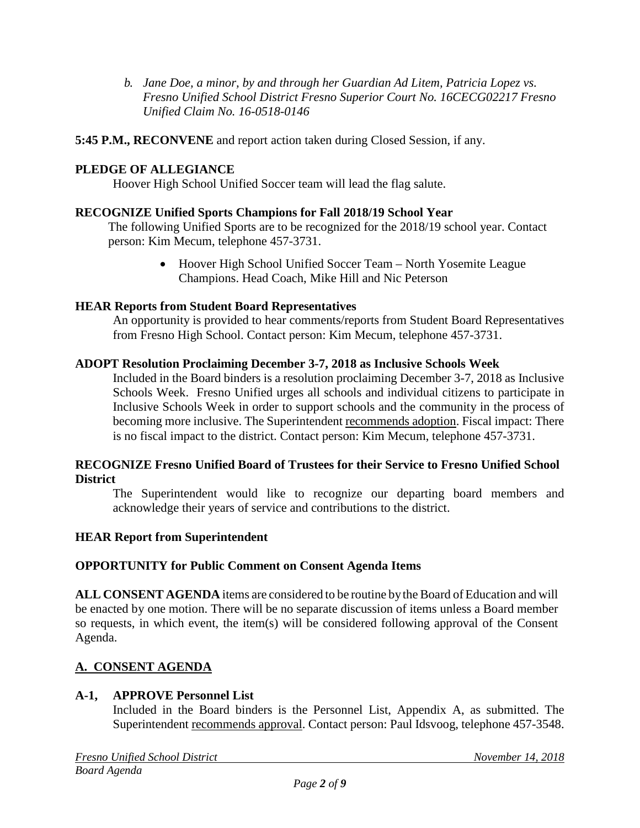*b. Jane Doe, a minor, by and through her Guardian Ad Litem, Patricia Lopez vs. Fresno Unified School District Fresno Superior Court No. 16CECG02217 Fresno Unified Claim No. 16-0518-0146*

**5:45 P.M., RECONVENE** and report action taken during Closed Session, if any.

# **PLEDGE OF ALLEGIANCE**

Hoover High School Unified Soccer team will lead the flag salute.

# **RECOGNIZE Unified Sports Champions for Fall 2018/19 School Year**

The following Unified Sports are to be recognized for the 2018/19 school year. Contact person: Kim Mecum, telephone 457-3731.

> • Hoover High School Unified Soccer Team – North Yosemite League Champions. Head Coach, Mike Hill and Nic Peterson

# **HEAR Reports from Student Board Representatives**

An opportunity is provided to hear comments/reports from Student Board Representatives from Fresno High School. Contact person: Kim Mecum, telephone 457-3731.

# **ADOPT Resolution Proclaiming December 3-7, 2018 as Inclusive Schools Week**

Included in the Board binders is a resolution proclaiming December 3-7, 2018 as Inclusive Schools Week. Fresno Unified urges all schools and individual citizens to participate in Inclusive Schools Week in order to support schools and the community in the process of becoming more inclusive. The Superintendent recommends adoption. Fiscal impact: There is no fiscal impact to the district. Contact person: Kim Mecum, telephone 457-3731.

### **RECOGNIZE Fresno Unified Board of Trustees for their Service to Fresno Unified School District**

The Superintendent would like to recognize our departing board members and acknowledge their years of service and contributions to the district.

### **HEAR Report from Superintendent**

### **OPPORTUNITY for Public Comment on Consent Agenda Items**

**ALL CONSENT AGENDA** items are considered to be routine bythe Board of Education and will be enacted by one motion. There will be no separate discussion of items unless a Board member so requests, in which event, the item(s) will be considered following approval of the Consent Agenda.

# **A. CONSENT AGENDA**

# **A-1, APPROVE Personnel List**

Included in the Board binders is the Personnel List, Appendix A, as submitted. The Superintendent recommends approval. Contact person: Paul Idsvoog, telephone 457-3548.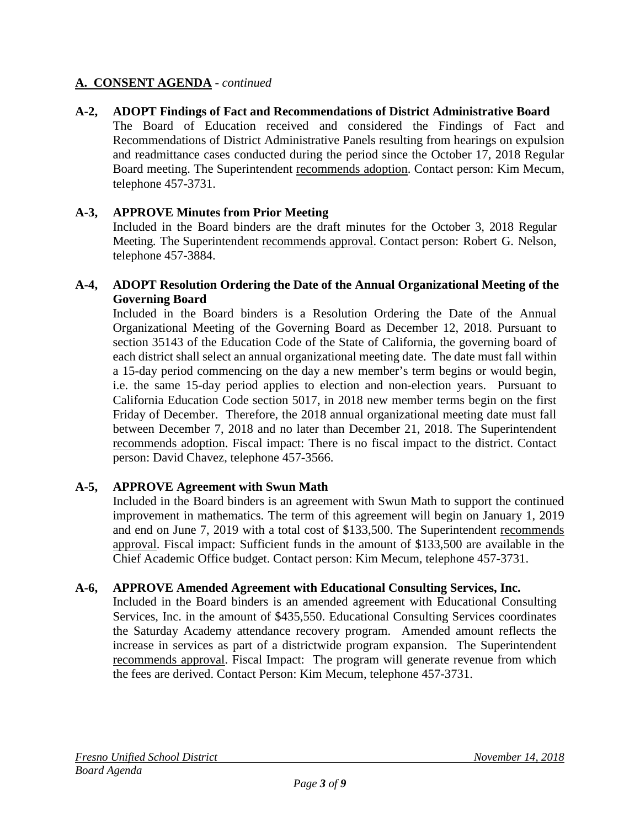# **A-2, ADOPT Findings of Fact and Recommendations of District Administrative Board**

The Board of Education received and considered the Findings of Fact and Recommendations of District Administrative Panels resulting from hearings on expulsion and readmittance cases conducted during the period since the October 17, 2018 Regular Board meeting. The Superintendent recommends adoption. Contact person: Kim Mecum, telephone 457-3731.

### **A-3, APPROVE Minutes from Prior Meeting**

Included in the Board binders are the draft minutes for the October 3, 2018 Regular Meeting. The Superintendent recommends approval. Contact person: Robert G. Nelson, telephone 457-3884.

### **A-4, ADOPT Resolution Ordering the Date of the Annual Organizational Meeting of the Governing Board**

Included in the Board binders is a Resolution Ordering the Date of the Annual Organizational Meeting of the Governing Board as December 12, 2018. Pursuant to section 35143 of the Education Code of the State of California, the governing board of each district shall select an annual organizational meeting date. The date must fall within a 15-day period commencing on the day a new member's term begins or would begin, i.e. the same 15-day period applies to election and non-election years. Pursuant to California Education Code section 5017, in 2018 new member terms begin on the first Friday of December. Therefore, the 2018 annual organizational meeting date must fall between December 7, 2018 and no later than December 21, 2018. The Superintendent recommends adoption. Fiscal impact: There is no fiscal impact to the district. Contact person: David Chavez, telephone 457-3566.

### **A-5, APPROVE Agreement with Swun Math**

Included in the Board binders is an agreement with Swun Math to support the continued improvement in mathematics. The term of this agreement will begin on January 1, 2019 and end on June 7, 2019 with a total cost of \$133,500. The Superintendent recommends approval. Fiscal impact: Sufficient funds in the amount of \$133,500 are available in the Chief Academic Office budget. Contact person: Kim Mecum, telephone 457-3731.

### **A-6, APPROVE Amended Agreement with Educational Consulting Services, Inc.**

Included in the Board binders is an amended agreement with Educational Consulting Services, Inc. in the amount of \$435,550. Educational Consulting Services coordinates the Saturday Academy attendance recovery program. Amended amount reflects the increase in services as part of a districtwide program expansion. The Superintendent recommends approval. Fiscal Impact: The program will generate revenue from which the fees are derived. Contact Person: Kim Mecum, telephone 457-3731.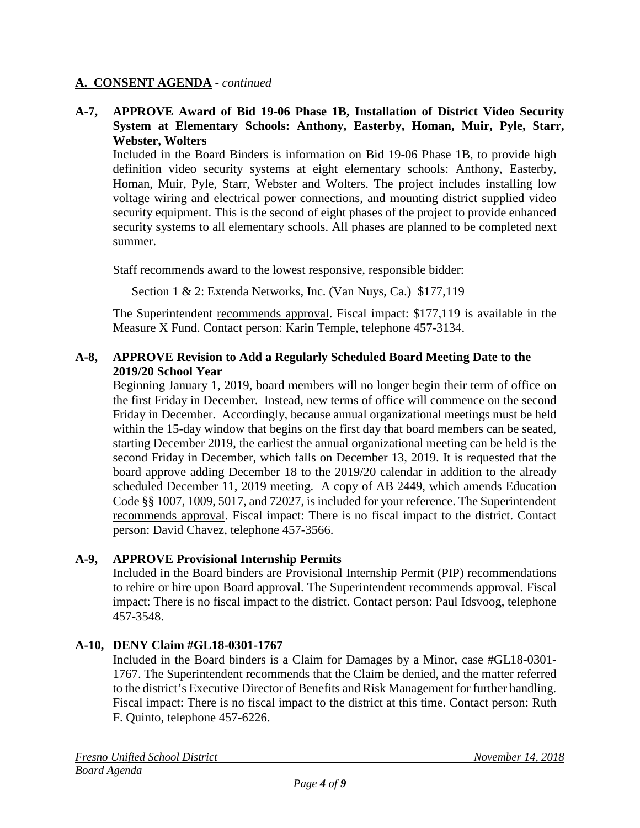### **A-7, APPROVE Award of Bid 19-06 Phase 1B, Installation of District Video Security System at Elementary Schools: Anthony, Easterby, Homan, Muir, Pyle, Starr, Webster, Wolters**

Included in the Board Binders is information on Bid 19-06 Phase 1B, to provide high definition video security systems at eight elementary schools: Anthony, Easterby, Homan, Muir, Pyle, Starr, Webster and Wolters. The project includes installing low voltage wiring and electrical power connections, and mounting district supplied video security equipment. This is the second of eight phases of the project to provide enhanced security systems to all elementary schools. All phases are planned to be completed next summer.

Staff recommends award to the lowest responsive, responsible bidder:

Section 1 & 2: Extenda Networks, Inc. (Van Nuys, Ca.) \$177,119

The Superintendent recommends approval. Fiscal impact: \$177,119 is available in the Measure X Fund. Contact person: Karin Temple, telephone 457-3134.

### **A-8, APPROVE Revision to Add a Regularly Scheduled Board Meeting Date to the 2019/20 School Year**

Beginning January 1, 2019, board members will no longer begin their term of office on the first Friday in December. Instead, new terms of office will commence on the second Friday in December. Accordingly, because annual organizational meetings must be held within the 15-day window that begins on the first day that board members can be seated, starting December 2019, the earliest the annual organizational meeting can be held is the second Friday in December, which falls on December 13, 2019. It is requested that the board approve adding December 18 to the 2019/20 calendar in addition to the already scheduled December 11, 2019 meeting. A copy of AB 2449, which amends Education Code §§ 1007, 1009, 5017, and 72027, is included for your reference. The Superintendent recommends approval. Fiscal impact: There is no fiscal impact to the district. Contact person: David Chavez, telephone 457-3566.

### **A-9, APPROVE Provisional Internship Permits**

Included in the Board binders are Provisional Internship Permit (PIP) recommendations to rehire or hire upon Board approval. The Superintendent recommends approval. Fiscal impact: There is no fiscal impact to the district. Contact person: Paul Idsvoog, telephone 457-3548.

### **A-10, DENY Claim #GL18-0301-1767**

Included in the Board binders is a Claim for Damages by a Minor, case #GL18-0301- 1767. The Superintendent recommends that the Claim be denied, and the matter referred to the district's Executive Director of Benefits and Risk Management for further handling. Fiscal impact: There is no fiscal impact to the district at this time. Contact person: Ruth F. Quinto, telephone 457-6226.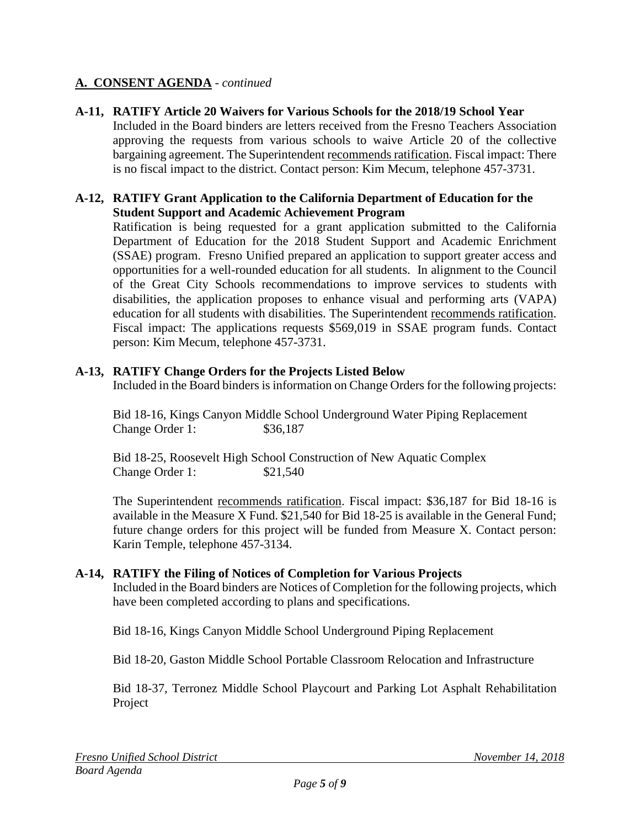**A-11, RATIFY Article 20 Waivers for Various Schools for the 2018/19 School Year** Included in the Board binders are letters received from the Fresno Teachers Association approving the requests from various schools to waive Article 20 of the collective bargaining agreement. The Superintendent recommends ratification. Fiscal impact: There is no fiscal impact to the district. Contact person: Kim Mecum, telephone 457-3731.

#### **A-12, RATIFY Grant Application to the California Department of Education for the Student Support and Academic Achievement Program**

Ratification is being requested for a grant application submitted to the California Department of Education for the 2018 Student Support and Academic Enrichment (SSAE) program. Fresno Unified prepared an application to support greater access and opportunities for a well-rounded education for all students. In alignment to the Council of the Great City Schools recommendations to improve services to students with disabilities, the application proposes to enhance visual and performing arts (VAPA) education for all students with disabilities. The Superintendent recommends ratification. Fiscal impact: The applications requests \$569,019 in SSAE program funds. Contact person: Kim Mecum, telephone 457-3731.

# **A-13, RATIFY Change Orders for the Projects Listed Below**

Included in the Board binders is information on Change Orders for the following projects:

Bid 18-16, Kings Canyon Middle School Underground Water Piping Replacement Change Order 1: \$36,187

Bid 18-25, Roosevelt High School Construction of New Aquatic Complex Change Order 1: \$21,540

The Superintendent recommends ratification. Fiscal impact: \$36,187 for Bid 18-16 is available in the Measure X Fund. \$21,540 for Bid 18-25 is available in the General Fund; future change orders for this project will be funded from Measure X. Contact person: Karin Temple, telephone 457-3134.

### **A-14, RATIFY the Filing of Notices of Completion for Various Projects**

Included in the Board binders are Notices of Completion for the following projects, which have been completed according to plans and specifications.

Bid 18-16, Kings Canyon Middle School Underground Piping Replacement

Bid 18-20, Gaston Middle School Portable Classroom Relocation and Infrastructure

Bid 18-37, Terronez Middle School Playcourt and Parking Lot Asphalt Rehabilitation Project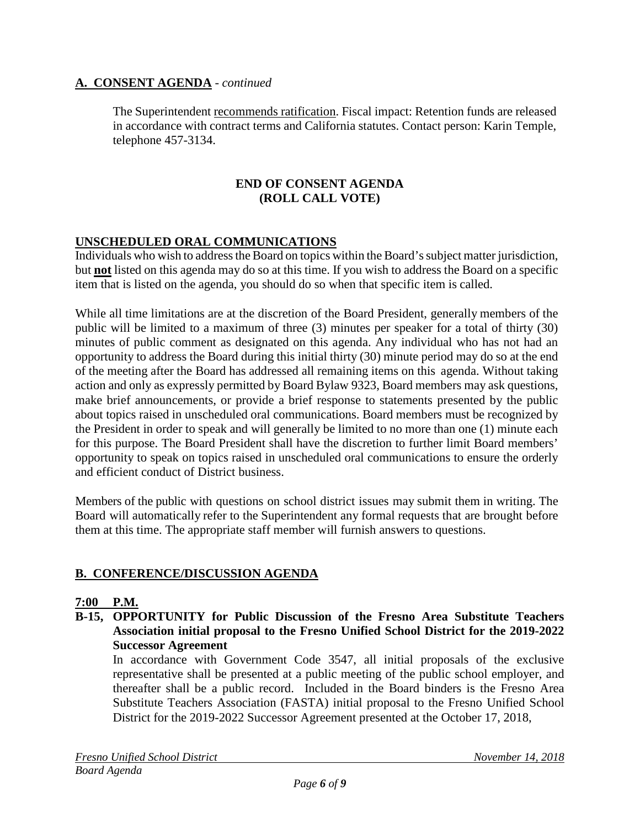The Superintendent recommends ratification. Fiscal impact: Retention funds are released in accordance with contract terms and California statutes. Contact person: Karin Temple, telephone 457-3134.

### **END OF CONSENT AGENDA (ROLL CALL VOTE)**

# **UNSCHEDULED ORAL COMMUNICATIONS**

Individuals who wish to address the Board on topics within the Board's subject matter jurisdiction, but **not** listed on this agenda may do so at this time. If you wish to address the Board on a specific item that is listed on the agenda, you should do so when that specific item is called.

While all time limitations are at the discretion of the Board President, generally members of the public will be limited to a maximum of three (3) minutes per speaker for a total of thirty (30) minutes of public comment as designated on this agenda. Any individual who has not had an opportunity to address the Board during this initial thirty (30) minute period may do so at the end of the meeting after the Board has addressed all remaining items on this agenda. Without taking action and only as expressly permitted by Board Bylaw 9323, Board members may ask questions, make brief announcements, or provide a brief response to statements presented by the public about topics raised in unscheduled oral communications. Board members must be recognized by the President in order to speak and will generally be limited to no more than one (1) minute each for this purpose. The Board President shall have the discretion to further limit Board members' opportunity to speak on topics raised in unscheduled oral communications to ensure the orderly and efficient conduct of District business.

Members of the public with questions on school district issues may submit them in writing. The Board will automatically refer to the Superintendent any formal requests that are brought before them at this time. The appropriate staff member will furnish answers to questions.

# **B. CONFERENCE/DISCUSSION AGENDA**

### **7:00 P.M.**

**B-15, OPPORTUNITY for Public Discussion of the Fresno Area Substitute Teachers Association initial proposal to the Fresno Unified School District for the 2019-2022 Successor Agreement**

In accordance with Government Code 3547, all initial proposals of the exclusive representative shall be presented at a public meeting of the public school employer, and thereafter shall be a public record. Included in the Board binders is the Fresno Area Substitute Teachers Association (FASTA) initial proposal to the Fresno Unified School District for the 2019-2022 Successor Agreement presented at the October 17, 2018,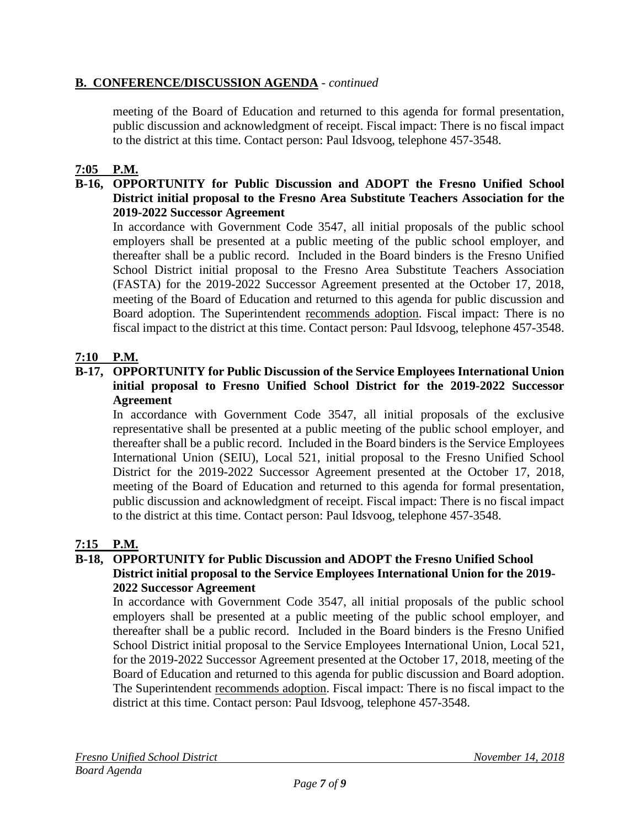# **B. CONFERENCE/DISCUSSION AGENDA** - *continued*

meeting of the Board of Education and returned to this agenda for formal presentation, public discussion and acknowledgment of receipt. Fiscal impact: There is no fiscal impact to the district at this time. Contact person: Paul Idsvoog, telephone 457-3548.

# **7:05 P.M.**

### **B-16, OPPORTUNITY for Public Discussion and ADOPT the Fresno Unified School District initial proposal to the Fresno Area Substitute Teachers Association for the 2019-2022 Successor Agreement**

In accordance with Government Code 3547, all initial proposals of the public school employers shall be presented at a public meeting of the public school employer, and thereafter shall be a public record. Included in the Board binders is the Fresno Unified School District initial proposal to the Fresno Area Substitute Teachers Association (FASTA) for the 2019-2022 Successor Agreement presented at the October 17, 2018, meeting of the Board of Education and returned to this agenda for public discussion and Board adoption. The Superintendent recommends adoption. Fiscal impact: There is no fiscal impact to the district at this time. Contact person: Paul Idsvoog, telephone 457-3548.

# **7:10 P.M.**

### **B-17, OPPORTUNITY for Public Discussion of the Service Employees International Union initial proposal to Fresno Unified School District for the 2019-2022 Successor Agreement**

In accordance with Government Code 3547, all initial proposals of the exclusive representative shall be presented at a public meeting of the public school employer, and thereafter shall be a public record. Included in the Board binders is the Service Employees International Union (SEIU), Local 521, initial proposal to the Fresno Unified School District for the 2019-2022 Successor Agreement presented at the October 17, 2018, meeting of the Board of Education and returned to this agenda for formal presentation, public discussion and acknowledgment of receipt. Fiscal impact: There is no fiscal impact to the district at this time. Contact person: Paul Idsvoog, telephone 457-3548.

# **7:15 P.M.**

## **B-18, OPPORTUNITY for Public Discussion and ADOPT the Fresno Unified School District initial proposal to the Service Employees International Union for the 2019- 2022 Successor Agreement**

In accordance with Government Code 3547, all initial proposals of the public school employers shall be presented at a public meeting of the public school employer, and thereafter shall be a public record. Included in the Board binders is the Fresno Unified School District initial proposal to the Service Employees International Union, Local 521, for the 2019-2022 Successor Agreement presented at the October 17, 2018, meeting of the Board of Education and returned to this agenda for public discussion and Board adoption. The Superintendent recommends adoption. Fiscal impact: There is no fiscal impact to the district at this time. Contact person: Paul Idsvoog, telephone 457-3548.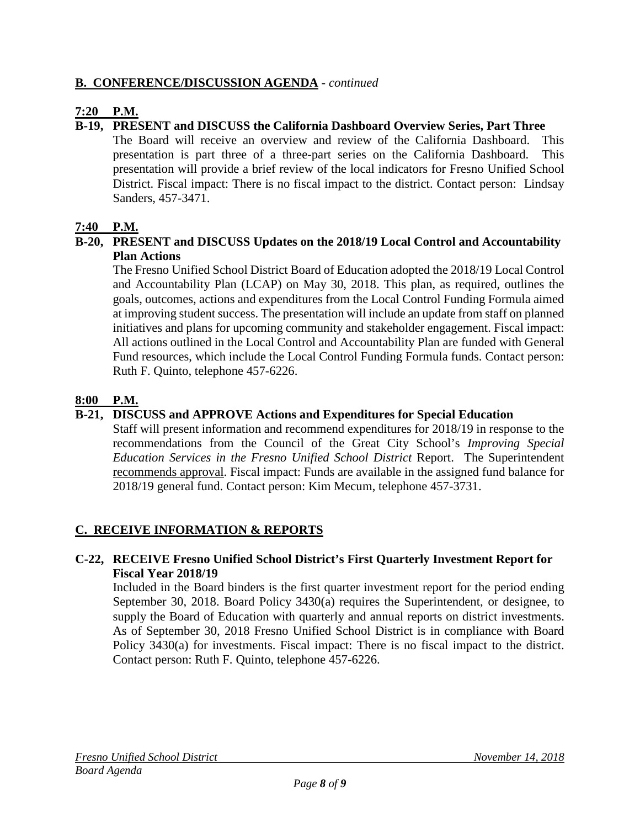# **B. CONFERENCE/DISCUSSION AGENDA** - *continued*

# **7:20 P.M.**

# **B-19, PRESENT and DISCUSS the California Dashboard Overview Series, Part Three**

The Board will receive an overview and review of the California Dashboard. This presentation is part three of a three-part series on the California Dashboard. This presentation will provide a brief review of the local indicators for Fresno Unified School District. Fiscal impact: There is no fiscal impact to the district. Contact person: Lindsay Sanders, 457-3471.

# **7:40 P.M.**

# **B-20, PRESENT and DISCUSS Updates on the 2018/19 Local Control and Accountability Plan Actions**

The Fresno Unified School District Board of Education adopted the 2018/19 Local Control and Accountability Plan (LCAP) on May 30, 2018. This plan, as required, outlines the goals, outcomes, actions and expenditures from the Local Control Funding Formula aimed at improving student success. The presentation will include an update from staff on planned initiatives and plans for upcoming community and stakeholder engagement. Fiscal impact: All actions outlined in the Local Control and Accountability Plan are funded with General Fund resources, which include the Local Control Funding Formula funds. Contact person: Ruth F. Quinto, telephone 457-6226.

# **8:00 P.M.**

# **B-21, DISCUSS and APPROVE Actions and Expenditures for Special Education**

Staff will present information and recommend expenditures for 2018/19 in response to the recommendations from the Council of the Great City School's *Improving Special Education Services in the Fresno Unified School District* Report. The Superintendent recommends approval. Fiscal impact: Funds are available in the assigned fund balance for 2018/19 general fund. Contact person: Kim Mecum, telephone 457-3731.

# **C. RECEIVE INFORMATION & REPORTS**

# **C-22, RECEIVE Fresno Unified School District's First Quarterly Investment Report for Fiscal Year 2018/19**

Included in the Board binders is the first quarter investment report for the period ending September 30, 2018. Board Policy 3430(a) requires the Superintendent, or designee, to supply the Board of Education with quarterly and annual reports on district investments. As of September 30, 2018 Fresno Unified School District is in compliance with Board Policy 3430(a) for investments. Fiscal impact: There is no fiscal impact to the district. Contact person: Ruth F. Quinto, telephone 457-6226.